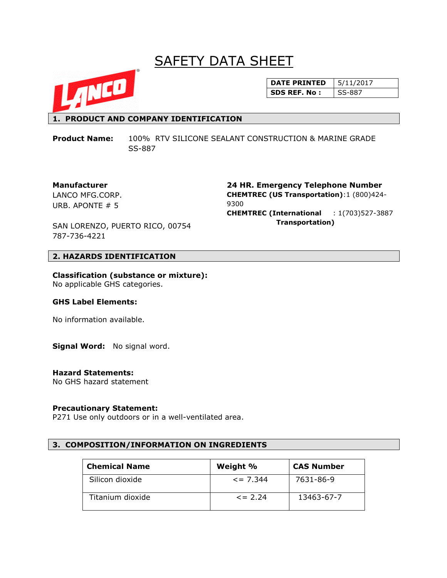# **SAFETY DATA SHEET**



## **DATE PRINTED** | 5/11/2017 **SDS REF. No : SS-887**

## **1. PRODUCT AND COMPANY IDENTIFICATION**

**Product Name:** 100% RTV SILICONE SEALANT CONSTRUCTION & MARINE GRADE SS-887

#### **Manufacturer**

LANCO MFG.CORP. URB. APONTE # 5

**24 HR. Emergency Telephone Number CHEMTREC (US Transportation)**:1 (800)424- 9300 **CHEMTREC (International** : 1(703)527-3887  **Transportation)**

SAN LORENZO, PUERTO RICO, 00754 787-736-4221

## **2. HAZARDS IDENTIFICATION**

**Classification (substance or mixture):** No applicable GHS categories.

#### **GHS Label Elements:**

No information available.

**Signal Word:** No signal word.

#### **Hazard Statements:**

No GHS hazard statement

#### **Precautionary Statement:**

P271 Use only outdoors or in a well-ventilated area.

#### **3. COMPOSITION/INFORMATION ON INGREDIENTS**

| <b>Chemical Name</b> | Weight %       | <b>CAS Number</b> |
|----------------------|----------------|-------------------|
| Silicon dioxide      | $\leq$ = 7.344 | 7631-86-9         |
| Titanium dioxide     | $\leq$ 2.24    | 13463-67-7        |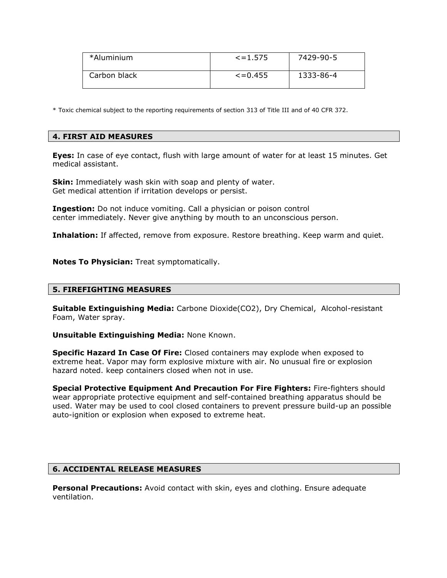| *Aluminium   | $\le$ = 1.575  | 7429-90-5 |
|--------------|----------------|-----------|
| Carbon black | $\leq$ = 0.455 | 1333-86-4 |

\* Toxic chemical subject to the reporting requirements of section 313 of Title III and of 40 CFR 372.

## **4. FIRST AID MEASURES**

**Eyes:** In case of eye contact, flush with large amount of water for at least 15 minutes. Get medical assistant.

**Skin:** Immediately wash skin with soap and plenty of water. Get medical attention if irritation develops or persist.

**Ingestion:** Do not induce vomiting. Call a physician or poison control center immediately. Never give anything by mouth to an unconscious person.

**Inhalation:** If affected, remove from exposure. Restore breathing. Keep warm and quiet.

**Notes To Physician:** Treat symptomatically.

#### **5. FIREFIGHTING MEASURES**

**Suitable Extinguishing Media:** Carbone Dioxide(CO2), Dry Chemical, Alcohol-resistant Foam, Water spray.

**Unsuitable Extinguishing Media:** None Known.

**Specific Hazard In Case Of Fire:** Closed containers may explode when exposed to extreme heat. Vapor may form explosive mixture with air. No unusual fire or explosion hazard noted. keep containers closed when not in use.

**Special Protective Equipment And Precaution For Fire Fighters:** Fire-fighters should wear appropriate protective equipment and self-contained breathing apparatus should be used. Water may be used to cool closed containers to prevent pressure build-up an possible auto-ignition or explosion when exposed to extreme heat.

## **6. ACCIDENTAL RELEASE MEASURES**

**Personal Precautions:** Avoid contact with skin, eyes and clothing. Ensure adequate ventilation.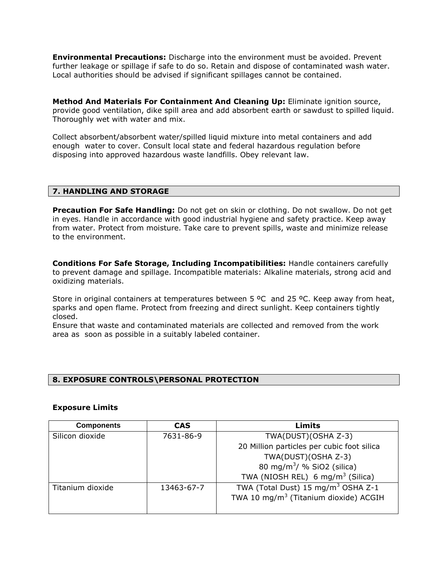**Environmental Precautions:** Discharge into the environment must be avoided. Prevent further leakage or spillage if safe to do so. Retain and dispose of contaminated wash water. Local authorities should be advised if significant spillages cannot be contained.

**Method And Materials For Containment And Cleaning Up:** Eliminate ignition source, provide good ventilation, dike spill area and add absorbent earth or sawdust to spilled liquid. Thoroughly wet with water and mix.

Collect absorbent/absorbent water/spilled liquid mixture into metal containers and add enough water to cover. Consult local state and federal hazardous regulation before disposing into approved hazardous waste landfills. Obey relevant law.

#### **7. HANDLING AND STORAGE**

**Precaution For Safe Handling:** Do not get on skin or clothing. Do not swallow. Do not get in eyes. Handle in accordance with good industrial hygiene and safety practice. Keep away from water. Protect from moisture. Take care to prevent spills, waste and minimize release to the environment.

**Conditions For Safe Storage, Including Incompatibilities:** Handle containers carefully to prevent damage and spillage. Incompatible materials: Alkaline materials, strong acid and oxidizing materials.

Store in original containers at temperatures between 5  $^{\circ}$ C and 25  $^{\circ}$ C. Keep away from heat, sparks and open flame. Protect from freezing and direct sunlight. Keep containers tightly closed.

Ensure that waste and contaminated materials are collected and removed from the work area as soon as possible in a suitably labeled container.

#### **8. EXPOSURE CONTROLS\PERSONAL PROTECTION**

#### **Exposure Limits**

| <b>Components</b> | <b>CAS</b> | Limits                                            |
|-------------------|------------|---------------------------------------------------|
| Silicon dioxide   | 7631-86-9  | TWA(DUST)(OSHA Z-3)                               |
|                   |            | 20 Million particles per cubic foot silica        |
|                   |            | TWA(DUST)(OSHA Z-3)                               |
|                   |            | 80 mg/m <sup>3</sup> / % SiO2 (silica)            |
|                   |            | TWA (NIOSH REL) 6 mg/m <sup>3</sup> (Silica)      |
| Titanium dioxide  | 13463-67-7 | TWA (Total Dust) 15 mg/m <sup>3</sup> OSHA Z-1    |
|                   |            | TWA 10 mg/m <sup>3</sup> (Titanium dioxide) ACGIH |
|                   |            |                                                   |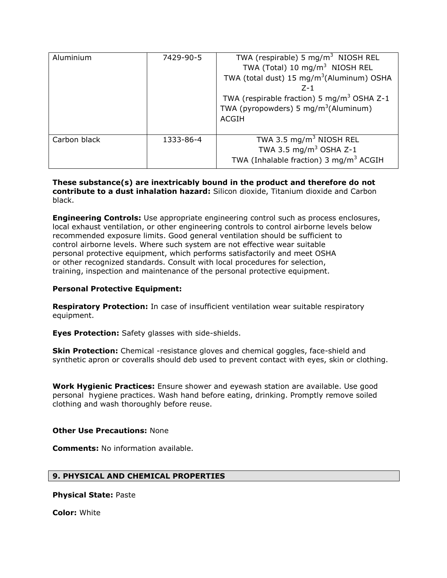| Aluminium    | 7429-90-5 | TWA (respirable) 5 mg/m <sup>3</sup> NIOSH REL<br>TWA (Total) 10 mg/m <sup>3</sup> NIOSH REL<br>TWA (total dust) 15 mg/m <sup>3</sup> (Aluminum) OSHA<br>$7 - 1$<br>TWA (respirable fraction) 5 mg/m <sup>3</sup> OSHA Z-1<br>TWA (pyropowders) 5 mg/m <sup>3</sup> (Aluminum)<br><b>ACGIH</b> |
|--------------|-----------|------------------------------------------------------------------------------------------------------------------------------------------------------------------------------------------------------------------------------------------------------------------------------------------------|
| Carbon black | 1333-86-4 | TWA 3.5 $mg/m3$ NIOSH REL<br>TWA 3.5 mg/m <sup>3</sup> OSHA Z-1<br>TWA (Inhalable fraction) 3 mg/m <sup>3</sup> ACGIH                                                                                                                                                                          |

**These substance(s) are inextricably bound in the product and therefore do not contribute to a dust inhalation hazard:** Silicon dioxide, Titanium dioxide and Carbon black.

**Engineering Controls:** Use appropriate engineering control such as process enclosures, local exhaust ventilation, or other engineering controls to control airborne levels below recommended exposure limits. Good general ventilation should be sufficient to control airborne levels. Where such system are not effective wear suitable personal protective equipment, which performs satisfactorily and meet OSHA or other recognized standards. Consult with local procedures for selection, training, inspection and maintenance of the personal protective equipment.

#### **Personal Protective Equipment:**

**Respiratory Protection:** In case of insufficient ventilation wear suitable respiratory equipment.

**Eyes Protection:** Safety glasses with side-shields.

**Skin Protection:** Chemical -resistance gloves and chemical goggles, face-shield and synthetic apron or coveralls should deb used to prevent contact with eyes, skin or clothing.

**Work Hygienic Practices:** Ensure shower and eyewash station are available. Use good personal hygiene practices. Wash hand before eating, drinking. Promptly remove soiled clothing and wash thoroughly before reuse.

#### **Other Use Precautions:** None

**Comments:** No information available.

#### **9. PHYSICAL AND CHEMICAL PROPERTIES**

**Physical State:** Paste

**Color:** White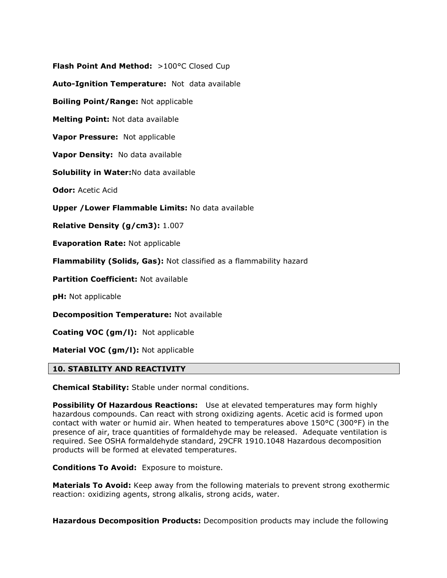**Flash Point And Method: >100°C Closed Cup Auto-Ignition Temperature:** Not data available **Boiling Point/Range:** Not applicable **Melting Point:** Not data available **Vapor Pressure:** Not applicable **Vapor Density:** No data available **Solubility in Water:**No data available **Odor:** Acetic Acid **Upper /Lower Flammable Limits:** No data available **Relative Density (g/cm3):** 1.007 **Evaporation Rate:** Not applicable **Flammability (Solids, Gas):** Not classified as a flammability hazard **Partition Coefficient:** Not available **pH:** Not applicable

**Decomposition Temperature:** Not available

**Coating VOC (gm/l):** Not applicable

**Material VOC (gm/l):** Not applicable

## **10. STABILITY AND REACTIVITY**

**Chemical Stability:** Stable under normal conditions.

**Possibility Of Hazardous Reactions:** Use at elevated temperatures may form highly hazardous compounds. Can react with strong oxidizing agents. Acetic acid is formed upon contact with water or humid air. When heated to temperatures above 150°C (300°F) in the presence of air, trace quantities of formaldehyde may be released. Adequate ventilation is required. See OSHA formaldehyde standard, 29CFR 1910.1048 Hazardous decomposition products will be formed at elevated temperatures.

**Conditions To Avoid:** Exposure to moisture.

**Materials To Avoid:** Keep away from the following materials to prevent strong exothermic reaction: oxidizing agents, strong alkalis, strong acids, water.

**Hazardous Decomposition Products:** Decomposition products may include the following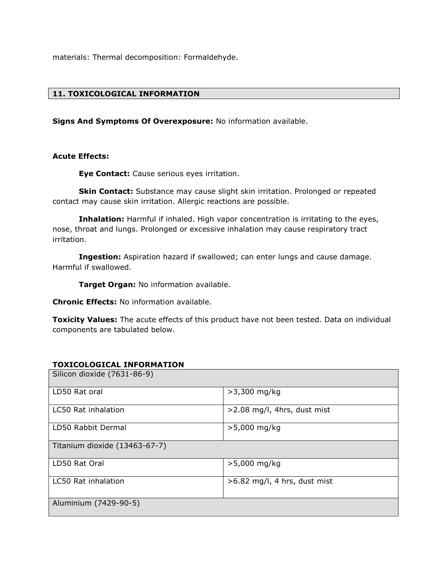materials: Thermal decomposition: Formaldehyde.

# **11. TOXICOLOGICAL INFORMATION**

**Signs And Symptoms Of Overexposure:** No information available.

#### **Acute Effects:**

**Eye Contact:** Cause serious eyes irritation.

**Skin Contact:** Substance may cause slight skin irritation. Prolonged or repeated contact may cause skin irritation. Allergic reactions are possible.

**Inhalation:** Harmful if inhaled. High vapor concentration is irritating to the eyes, nose, throat and lungs. Prolonged or excessive inhalation may cause respiratory tract irritation.

**Ingestion:** Aspiration hazard if swallowed; can enter lungs and cause damage. Harmful if swallowed.

**Target Organ:** No information available.

**Chronic Effects:** No information available.

**Toxicity Values:** The acute effects of this product have not been tested. Data on individual components are tabulated below.

#### **TOXICOLOGICAL INFORMATION**

| Silicon dioxide (7631-86-9)   |                                |
|-------------------------------|--------------------------------|
| LD50 Rat oral                 | $>3,300$ mg/kg                 |
| LC50 Rat inhalation           | $>2.08$ mg/l, 4hrs, dust mist  |
| LD50 Rabbit Dermal            | $>5,000$ mg/kg                 |
| Titanium dioxide (13463-67-7) |                                |
| LD50 Rat Oral                 | >5,000 mg/kg                   |
| LC50 Rat inhalation           | $>6.82$ mg/l, 4 hrs, dust mist |
| Aluminium (7429-90-5)         |                                |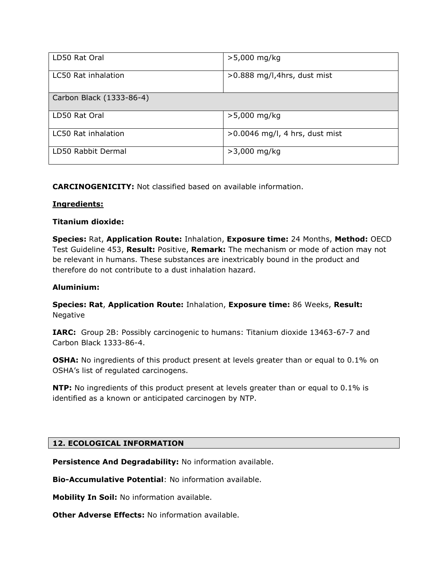| LD50 Rat Oral              | $>5,000$ mg/kg                   |
|----------------------------|----------------------------------|
| LC50 Rat inhalation        | $>0.888$ mg/l, 4hrs, dust mist   |
| Carbon Black (1333-86-4)   |                                  |
| LD50 Rat Oral              | $>5,000$ mg/kg                   |
| <b>LC50 Rat inhalation</b> | $>0.0046$ mg/l, 4 hrs, dust mist |
| LD50 Rabbit Dermal         | $>3,000$ mg/kg                   |

**CARCINOGENICITY:** Not classified based on available information.

## **Ingredients:**

## **Titanium dioxide:**

**Species:** Rat, **Application Route:** Inhalation, **Exposure time:** 24 Months, **Method:** OECD Test Guideline 453, **Result:** Positive, **Remark:** The mechanism or mode of action may not be relevant in humans. These substances are inextricably bound in the product and therefore do not contribute to a dust inhalation hazard.

## **Aluminium:**

**Species: Rat**, **Application Route:** Inhalation, **Exposure time:** 86 Weeks, **Result:**  Negative

**IARC:** Group 2B: Possibly carcinogenic to humans: Titanium dioxide 13463-67-7 and Carbon Black 1333-86-4.

**OSHA:** No ingredients of this product present at levels greater than or equal to 0.1% on OSHA's list of regulated carcinogens.

**NTP:** No ingredients of this product present at levels greater than or equal to 0.1% is identified as a known or anticipated carcinogen by NTP.

## **12. ECOLOGICAL INFORMATION**

**Persistence And Degradability:** No information available.

**Bio-Accumulative Potential**: No information available.

**Mobility In Soil:** No information available.

**Other Adverse Effects: No information available.**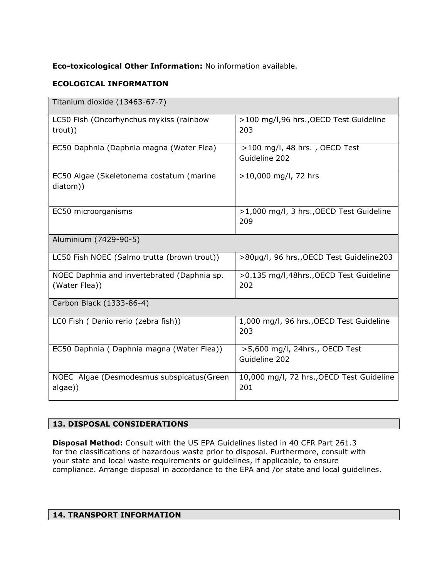# **Eco-toxicological Other Information:** No information available.

# **ECOLOGICAL INFORMATION**

| Titanium dioxide (13463-67-7)                                |                                                  |
|--------------------------------------------------------------|--------------------------------------------------|
| LC50 Fish (Oncorhynchus mykiss (rainbow<br>trout))           | >100 mg/l,96 hrs., OECD Test Guideline<br>203    |
| EC50 Daphnia (Daphnia magna (Water Flea)                     | $>100$ mg/l, 48 hrs., OECD Test<br>Guideline 202 |
| EC50 Algae (Skeletonema costatum (marine<br>diatom))         | >10,000 mg/l, 72 hrs                             |
| EC50 microorganisms                                          | >1,000 mg/l, 3 hrs., OECD Test Guideline<br>209  |
| Aluminium (7429-90-5)                                        |                                                  |
| LC50 Fish NOEC (Salmo trutta (brown trout))                  | >80µg/l, 96 hrs., OECD Test Guideline203         |
| NOEC Daphnia and invertebrated (Daphnia sp.<br>(Water Flea)) | >0.135 mg/l,48hrs.,OECD Test Guideline<br>202    |
| Carbon Black (1333-86-4)                                     |                                                  |
| LC0 Fish (Danio rerio (zebra fish))                          | 1,000 mg/l, 96 hrs., OECD Test Guideline<br>203  |
| EC50 Daphnia (Daphnia magna (Water Flea))                    | >5,600 mg/l, 24hrs., OECD Test<br>Guideline 202  |
| NOEC Algae (Desmodesmus subspicatus(Green<br>algae))         | 10,000 mg/l, 72 hrs., OECD Test Guideline<br>201 |

# **13. DISPOSAL CONSIDERATIONS**

**Disposal Method:** Consult with the US EPA Guidelines listed in 40 CFR Part 261.3 for the classifications of hazardous waste prior to disposal. Furthermore, consult with your state and local waste requirements or guidelines, if applicable, to ensure compliance. Arrange disposal in accordance to the EPA and /or state and local guidelines.

## **14. TRANSPORT INFORMATION**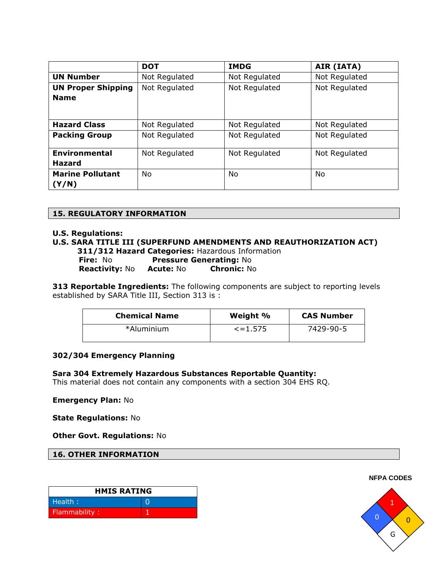|                                          | <b>DOT</b>    | <b>IMDG</b>   | AIR (IATA)    |
|------------------------------------------|---------------|---------------|---------------|
| <b>UN Number</b>                         | Not Regulated | Not Regulated | Not Regulated |
| <b>UN Proper Shipping</b><br><b>Name</b> | Not Regulated | Not Regulated | Not Regulated |
|                                          |               |               |               |
| <b>Hazard Class</b>                      | Not Regulated | Not Regulated | Not Regulated |
| <b>Packing Group</b>                     | Not Regulated | Not Regulated | Not Regulated |
| <b>Environmental</b>                     | Not Regulated | Not Regulated | Not Regulated |
| Hazard                                   |               |               |               |
| <b>Marine Pollutant</b>                  | No            | No            | No            |
| (Y/N)                                    |               |               |               |

## **15. REGULATORY INFORMATION**

#### **U.S. Regulations:**

## **U.S. SARA TITLE III (SUPERFUND AMENDMENTS AND REAUTHORIZATION ACT)**

 **311/312 Hazard Categories:** Hazardous Information **Fire:** No **Pressure Generating:** No **Reactivity:** No **Acute:** No **Chronic:** No

**313 Reportable Ingredients:** The following components are subject to reporting levels established by SARA Title III, Section 313 is :

| <b>Chemical Name</b> | Weight %      | <b>CAS Number</b> |
|----------------------|---------------|-------------------|
| *Aluminium           | $\le$ = 1.575 | 7429-90-5         |

#### **302/304 Emergency Planning**

#### **Sara 304 Extremely Hazardous Substances Reportable Quantity:**

This material does not contain any components with a section 304 EHS RQ.

#### **Emergency Plan:** No

**State Regulations:** No

**Other Govt. Regulations:** No

**16. OTHER INFORMATION**

| <b>HMIS RATING</b> |  |
|--------------------|--|
| Health:            |  |
| Flammability:      |  |

**NFPA CODES**